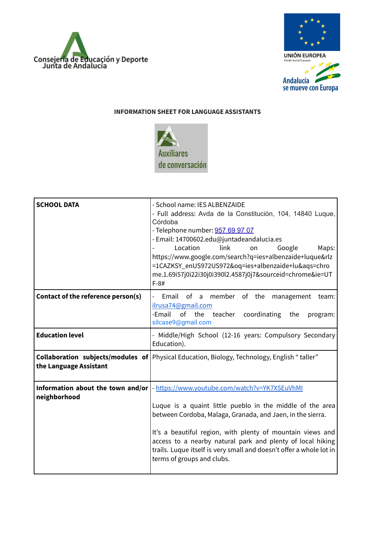



## **INFORMATION SHEET FOR LANGUAGE ASSISTANTS**



| <b>SCHOOL DATA</b>                                | - School name: IES ALBENZAIDE<br>- Full address: Avda de la Constitución, 104, 14840 Luque,<br>Córdoba<br>- Telephone number: 957 69 97 07<br>- Email: 14700602.edu@juntadeandalucia.es<br>Location<br>link<br>Google<br>Maps:<br>on<br>https://www.google.com/search?q=ies+albenzaide+luque&rlz<br>=1CAZKSY_enUS972US972&oq=ies+albenzaide+lu&aqs=chro<br>me.1.69i57j0i22i30j0i390l2.4587j0j7&sourceid=chrome&ie=UT<br>$F-8#$ |
|---------------------------------------------------|--------------------------------------------------------------------------------------------------------------------------------------------------------------------------------------------------------------------------------------------------------------------------------------------------------------------------------------------------------------------------------------------------------------------------------|
| Contact of the reference person(s)                | Email of a member of the<br>management<br>team:<br>ilrusa74@gmail.com<br>-Email<br>of<br>the<br>teacher coordinating<br>the<br>program:<br>silcase9@gmail.com                                                                                                                                                                                                                                                                  |
| <b>Education level</b>                            | - Middle/High School (12-16 years: Compulsory Secondary<br>Education).                                                                                                                                                                                                                                                                                                                                                         |
| the Language Assistant                            | <b>Collaboration subjects/modules of</b> Physical Education, Biology, Technology, English "taller"                                                                                                                                                                                                                                                                                                                             |
| Information about the town and/or<br>neighborhood | - https://www.youtube.com/watch?v=YK7XSEuVhMI<br>Luque is a quaint little pueblo in the middle of the area<br>between Cordoba, Malaga, Granada, and Jaen, in the sierra.<br>It's a beautiful region, with plenty of mountain views and<br>access to a nearby natural park and plenty of local hiking<br>trails. Luque itself is very small and doesn't offer a whole lot in<br>terms of groups and clubs.                      |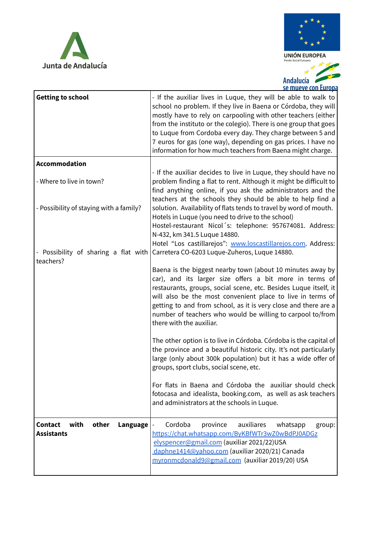



 $\overline{\mathbf{r}}$ Andalucía 2 se mueve con Europa

| <b>Getting to school</b>                                         | - If the auxiliar lives in Luque, they will be able to walk to<br>school no problem. If they live in Baena or Córdoba, they will<br>mostly have to rely on carpooling with other teachers (either<br>from the instituto or the colegio). There is one group that goes<br>to Luque from Cordoba every day. They charge between 5 and<br>7 euros for gas (one way), depending on gas prices. I have no<br>information for how much teachers from Baena might charge. |
|------------------------------------------------------------------|--------------------------------------------------------------------------------------------------------------------------------------------------------------------------------------------------------------------------------------------------------------------------------------------------------------------------------------------------------------------------------------------------------------------------------------------------------------------|
| <b>Accommodation</b>                                             |                                                                                                                                                                                                                                                                                                                                                                                                                                                                    |
| - Where to live in town?                                         | - If the auxiliar decides to live in Luque, they should have no<br>problem finding a flat to rent. Although it might be difficult to<br>find anything online, if you ask the administrators and the<br>teachers at the schools they should be able to help find a                                                                                                                                                                                                  |
| - Possibility of staying with a family?                          | solution. Availability of flats tends to travel by word of mouth.<br>Hotels in Luque (you need to drive to the school)<br>Hostel-restaurant Nicol's: telephone: 957674081. Address:<br>N-432, km 341.5 Luque 14880.                                                                                                                                                                                                                                                |
| - Possibility of sharing a flat with<br>teachers?                | Hotel "Los castillarejos": www.loscastillarejos.com. Address:<br>Carretera CO-6203 Luque-Zuheros, Luque 14880.                                                                                                                                                                                                                                                                                                                                                     |
|                                                                  | Baena is the biggest nearby town (about 10 minutes away by<br>car), and its larger size offers a bit more in terms of<br>restaurants, groups, social scene, etc. Besides Luque itself, it<br>will also be the most convenient place to live in terms of<br>getting to and from school, as it is very close and there are a<br>number of teachers who would be willing to carpool to/from<br>there with the auxiliar.                                               |
|                                                                  | The other option is to live in Córdoba. Córdoba is the capital of<br>the province and a beautiful historic city. It's not particularly<br>large (only about 300k population) but it has a wide offer of<br>groups, sport clubs, social scene, etc.                                                                                                                                                                                                                 |
|                                                                  | For flats in Baena and Córdoba the auxiliar should check<br>fotocasa and idealista, booking.com, as well as ask teachers<br>and administrators at the schools in Luque.                                                                                                                                                                                                                                                                                            |
| with<br><b>Contact</b><br>other<br>Language<br><b>Assistants</b> | Cordoba<br>auxiliares<br>province<br>whatsapp<br>group:<br>https://chat.whatsapp.com/ByKBfWTr3wZ0wBdPJ0ADGz<br>elyspencer@gmail.com (auxiliar 2021/22)USA<br>daphne1414@yahoo.com (auxiliar 2020/21) Canada<br>myronmcdonald9@gmail.com (auxiliar 2019/20) USA                                                                                                                                                                                                     |